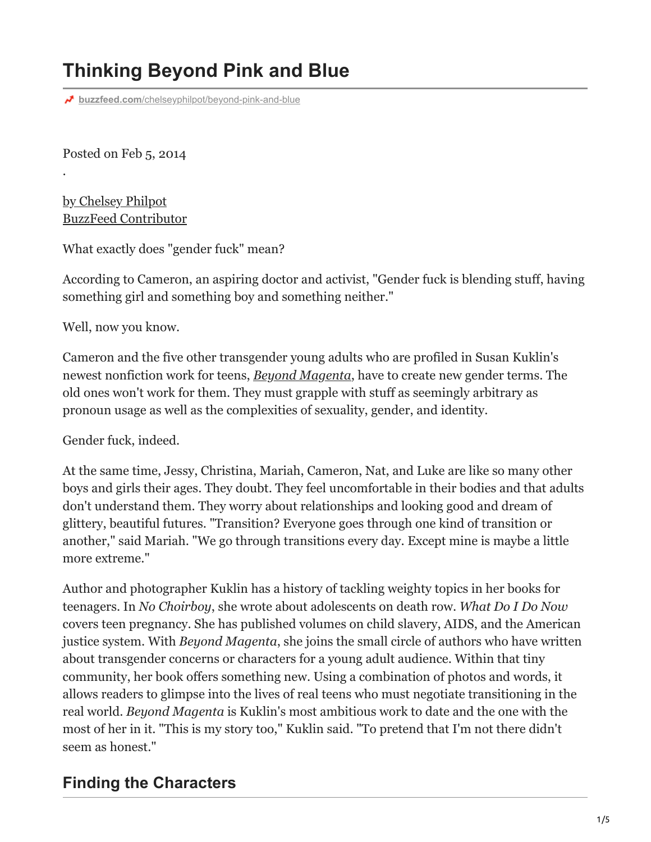# **Thinking Beyond Pink and Blue**

**buzzfeed.com**[/chelseyphilpot/beyond-pink-and-blue](https://www.buzzfeed.com/chelseyphilpot/beyond-pink-and-blue?utm_term=.vm3eo5G91#.iupEMlyYV)

Posted on Feb 5, 2014

.

by Chelsey Philpot [BuzzFeed Contributor](https://www.buzzfeed.com/chelseyphilpot)

What exactly does "gender fuck" mean?

According to Cameron, an aspiring doctor and activist, "Gender fuck is blending stuff, having something girl and something boy and something neither."

Well, now you know.

Cameron and the five other transgender young adults who are profiled in Susan Kuklin's newest nonfiction work for teens, *[Beyond Magenta](http://candlewick.com/cat.asp?browse=Title&mode=book&isbn=0763656119&pix=n)*, have to create new gender terms. The old ones won't work for them. They must grapple with stuff as seemingly arbitrary as pronoun usage as well as the complexities of sexuality, gender, and identity.

Gender fuck, indeed.

At the same time, Jessy, Christina, Mariah, Cameron, Nat, and Luke are like so many other boys and girls their ages. They doubt. They feel uncomfortable in their bodies and that adults don't understand them. They worry about relationships and looking good and dream of glittery, beautiful futures. "Transition? Everyone goes through one kind of transition or another," said Mariah. "We go through transitions every day. Except mine is maybe a little more extreme."

Author and photographer Kuklin has a history of tackling weighty topics in her books for teenagers. In *No Choirboy*, she wrote about adolescents on death row. *What Do I Do Now* covers teen pregnancy. She has published volumes on child slavery, AIDS, and the American justice system. With *Beyond Magenta*, she joins the small circle of authors who have written about transgender concerns or characters for a young adult audience. Within that tiny community, her book offers something new. Using a combination of photos and words, it allows readers to glimpse into the lives of real teens who must negotiate transitioning in the real world. *Beyond Magenta* is Kuklin's most ambitious work to date and the one with the most of her in it. "This is my story too," Kuklin said. "To pretend that I'm not there didn't seem as honest."

#### **Finding the Characters**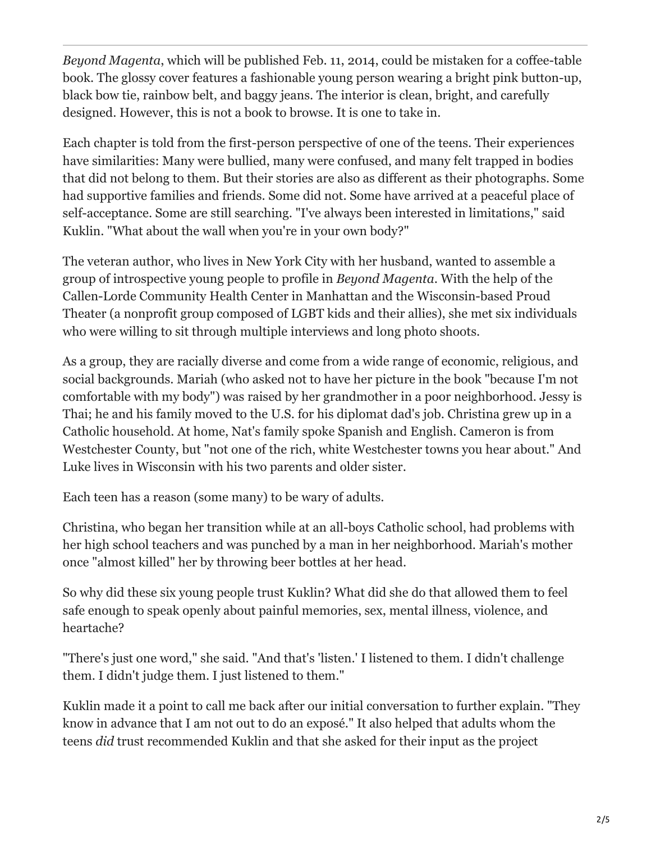*Beyond Magenta*, which will be published Feb. 11, 2014, could be mistaken for a coffee-table book. The glossy cover features a fashionable young person wearing a bright pink button-up, black bow tie, rainbow belt, and baggy jeans. The interior is clean, bright, and carefully designed. However, this is not a book to browse. It is one to take in.

Each chapter is told from the first-person perspective of one of the teens. Their experiences have similarities: Many were bullied, many were confused, and many felt trapped in bodies that did not belong to them. But their stories are also as different as their photographs. Some had supportive families and friends. Some did not. Some have arrived at a peaceful place of self-acceptance. Some are still searching. "I've always been interested in limitations," said Kuklin. "What about the wall when you're in your own body?"

The veteran author, who lives in New York City with her husband, wanted to assemble a group of introspective young people to profile in *Beyond Magenta*. With the help of the Callen-Lorde Community Health Center in Manhattan and the Wisconsin-based Proud Theater (a nonprofit group composed of LGBT kids and their allies), she met six individuals who were willing to sit through multiple interviews and long photo shoots.

As a group, they are racially diverse and come from a wide range of economic, religious, and social backgrounds. Mariah (who asked not to have her picture in the book "because I'm not comfortable with my body") was raised by her grandmother in a poor neighborhood. Jessy is Thai; he and his family moved to the U.S. for his diplomat dad's job. Christina grew up in a Catholic household. At home, Nat's family spoke Spanish and English. Cameron is from Westchester County, but "not one of the rich, white Westchester towns you hear about." And Luke lives in Wisconsin with his two parents and older sister.

Each teen has a reason (some many) to be wary of adults.

Christina, who began her transition while at an all-boys Catholic school, had problems with her high school teachers and was punched by a man in her neighborhood. Mariah's mother once "almost killed" her by throwing beer bottles at her head.

So why did these six young people trust Kuklin? What did she do that allowed them to feel safe enough to speak openly about painful memories, sex, mental illness, violence, and heartache?

"There's just one word," she said. "And that's 'listen.' I listened to them. I didn't challenge them. I didn't judge them. I just listened to them."

Kuklin made it a point to call me back after our initial conversation to further explain. "They know in advance that I am not out to do an exposé." It also helped that adults whom the teens *did* trust recommended Kuklin and that she asked for their input as the project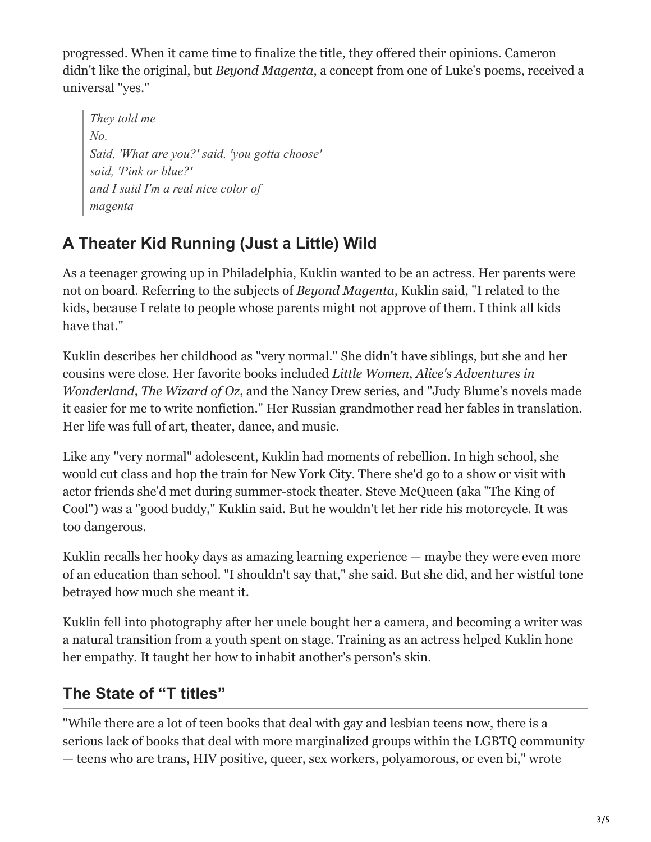progressed. When it came time to finalize the title, they offered their opinions. Cameron didn't like the original, but *Beyond Magenta*, a concept from one of Luke's poems, received a universal "yes."

*They told me No. Said, 'What are you?' said, 'you gotta choose' said, 'Pink or blue?' and I said I'm a real nice color of magenta*

## **A Theater Kid Running (Just a Little) Wild**

As a teenager growing up in Philadelphia, Kuklin wanted to be an actress. Her parents were not on board. Referring to the subjects of *Beyond Magenta*, Kuklin said, "I related to the kids, because I relate to people whose parents might not approve of them. I think all kids have that."

Kuklin describes her childhood as "very normal." She didn't have siblings, but she and her cousins were close. Her favorite books included *Little Women*, *Alice's Adventures in Wonderland*, *The Wizard of Oz*, and the Nancy Drew series, and "Judy Blume's novels made it easier for me to write nonfiction." Her Russian grandmother read her fables in translation. Her life was full of art, theater, dance, and music.

Like any "very normal" adolescent, Kuklin had moments of rebellion. In high school, she would cut class and hop the train for New York City. There she'd go to a show or visit with actor friends she'd met during summer-stock theater. Steve McQueen (aka "The King of Cool") was a "good buddy," Kuklin said. But he wouldn't let her ride his motorcycle. It was too dangerous.

Kuklin recalls her hooky days as amazing learning experience — maybe they were even more of an education than school. "I shouldn't say that," she said. But she did, and her wistful tone betrayed how much she meant it.

Kuklin fell into photography after her uncle bought her a camera, and becoming a writer was a natural transition from a youth spent on stage. Training as an actress helped Kuklin hone her empathy. It taught her how to inhabit another's person's skin.

### **The State of "T titles"**

"While there are a lot of teen books that deal with gay and lesbian teens now, there is a serious lack of books that deal with more marginalized groups within the LGBTQ community — teens who are trans, HIV positive, queer, sex workers, polyamorous, or even bi," wrote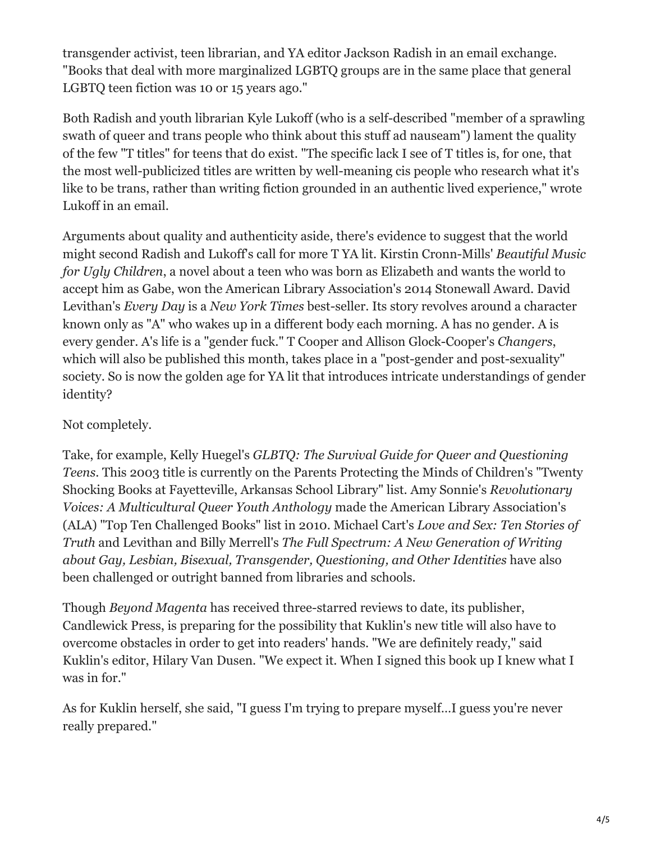transgender activist, teen librarian, and YA editor Jackson Radish in an email exchange. "Books that deal with more marginalized LGBTQ groups are in the same place that general LGBTQ teen fiction was 10 or 15 years ago."

Both Radish and youth librarian Kyle Lukoff (who is a self-described "member of a sprawling swath of queer and trans people who think about this stuff ad nauseam") lament the quality of the few "T titles" for teens that do exist. "The specific lack I see of T titles is, for one, that the most well-publicized titles are written by well-meaning cis people who research what it's like to be trans, rather than writing fiction grounded in an authentic lived experience," wrote Lukoff in an email.

Arguments about quality and authenticity aside, there's evidence to suggest that the world might second Radish and Lukoff's call for more T YA lit. Kirstin Cronn-Mills' *Beautiful Music for Ugly Children*, a novel about a teen who was born as Elizabeth and wants the world to accept him as Gabe, won the American Library Association's 2014 Stonewall Award. David Levithan's *Every Day* is a *New York Times* best-seller. Its story revolves around a character known only as "A" who wakes up in a different body each morning. A has no gender. A is every gender. A's life is a "gender fuck." T Cooper and Allison Glock-Cooper's *Changers*, which will also be published this month, takes place in a "post-gender and post-sexuality" society. So is now the golden age for YA lit that introduces intricate understandings of gender identity?

#### Not completely.

Take, for example, Kelly Huegel's *GLBTQ: The Survival Guide for Queer and Questioning Teens*. This 2003 title is currently on the Parents Protecting the Minds of Children's "Twenty Shocking Books at Fayetteville, Arkansas School Library" list. Amy Sonnie's *Revolutionary Voices: A Multicultural Queer Youth Anthology* made the American Library Association's (ALA) "Top Ten Challenged Books" list in 2010. Michael Cart's *Love and Sex: Ten Stories of Truth* and Levithan and Billy Merrell's *The Full Spectrum: A New Generation of Writing about Gay, Lesbian, Bisexual, Transgender, Questioning, and Other Identities* have also been challenged or outright banned from libraries and schools.

Though *Beyond Magenta* has received three-starred reviews to date, its publisher, Candlewick Press, is preparing for the possibility that Kuklin's new title will also have to overcome obstacles in order to get into readers' hands. "We are definitely ready," said Kuklin's editor, Hilary Van Dusen. "We expect it. When I signed this book up I knew what I was in for."

As for Kuklin herself, she said, "I guess I'm trying to prepare myself…I guess you're never really prepared."